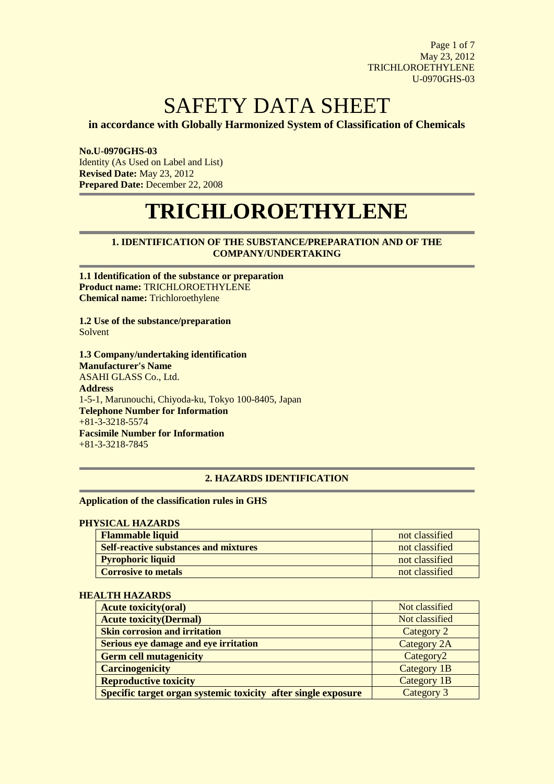Page 1 of 7 May 23, 2012 TRICHLOROETHYLENE U-0970GHS-03

# SAFETY DATA SHEET

**in accordance with Globally Harmonized System of Classification of Chemicals**

**No.U-0970GHS-03** Identity (As Used on Label and List) **Revised Date:** May 23, 2012 **Prepared Date:** December 22, 2008

# **TRICHLOROETHYLENE**

## **1. IDENTIFICATION OF THE SUBSTANCE/PREPARATION AND OF THE COMPANY/UNDERTAKING**

**1.1 Identification of the substance or preparation Product name:** TRICHLOROETHYLENE **Chemical name:** Trichloroethylene

**1.2 Use of the substance/preparation** Solvent

**1.3 Company/undertaking identification Manufacturer's Name** ASAHI GLASS Co., Ltd. **Address**  1-5-1, Marunouchi, Chiyoda-ku, Tokyo 100-8405, Japan **Telephone Number for Information**  $+81-3-3218-5574$ **Facsimile Number for Information** +81-3-3218-7845

### **2. HAZARDS IDENTIFICATION**

#### **Application of the classification rules in GHS**

#### **PHYSICAL HAZARDS**

| <b>Flammable liquid</b>                      | not classified |
|----------------------------------------------|----------------|
| <b>Self-reactive substances and mixtures</b> | not classified |
| <b>Pyrophoric liquid</b>                     | not classified |
| <b>Corrosive to metals</b>                   | not classified |

#### **HEALTH HAZARDS**

| <b>Acute toxicity(oral)</b>                                   | Not classified        |
|---------------------------------------------------------------|-----------------------|
| <b>Acute toxicity (Dermal)</b>                                | Not classified        |
| <b>Skin corrosion and irritation</b>                          | Category 2            |
| Serious eye damage and eye irritation                         | Category 2A           |
| <b>Germ cell mutagenicity</b>                                 | Category <sub>2</sub> |
| <b>Carcinogenicity</b>                                        | Category 1B           |
| <b>Reproductive toxicity</b>                                  | Category 1B           |
| Specific target organ systemic toxicity after single exposure | Category 3            |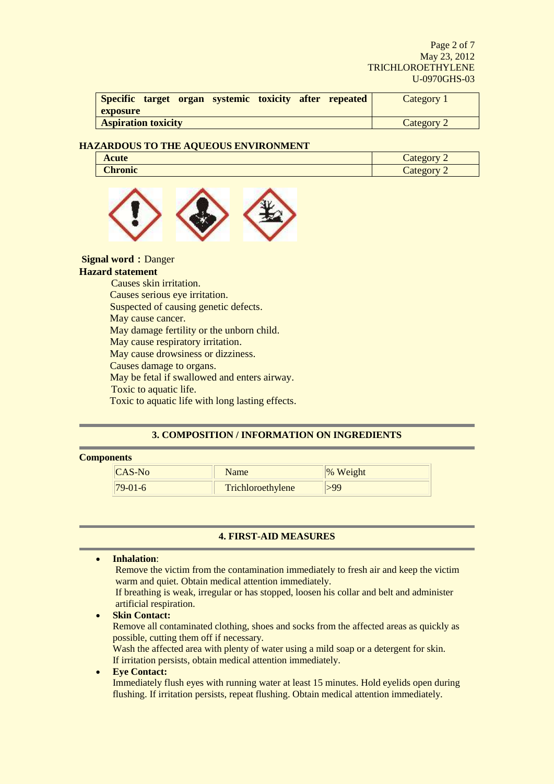Page 2 of 7 May 23, 2012 TRICHLOROETHYLENE U-0970GHS-03

| Specific target organ systemic toxicity after repeated | Category 1 |
|--------------------------------------------------------|------------|
| <b>exposure</b>                                        |            |
| <b>Aspiration toxicity</b>                             | Category 2 |

## **HAZARDOUS TO THE AQUEOUS ENVIRONMENT**

| <b>Acute</b>   | $\tilde{\phantom{a}}$<br>tegory<br>Cacc,<br>∼ |
|----------------|-----------------------------------------------|
| <b>Chronic</b> | ∽<br>mot<br><b>AIPU</b><br>Cacc;<br>∼         |



**Signal word: Danger** 

#### **Hazard statement**

 Causes skin irritation. Causes serious eye irritation. Suspected of causing genetic defects. May cause cancer. May damage fertility or the unborn child. May cause respiratory irritation. May cause drowsiness or dizziness. Causes damage to organs. May be fetal if swallowed and enters airway. Toxic to aquatic life. Toxic to aquatic life with long lasting effects.

## **3. COMPOSITION / INFORMATION ON INGREDIENTS**

### **Components**

| $ICAS-No$      | Name              | % Weight |
|----------------|-------------------|----------|
| $179 - 01 - 6$ | Trichloroethylene |          |

## **4. FIRST-AID MEASURES**

 **Inhalation**: Remove the victim from the contamination immediately to fresh air and keep the victim warm and quiet. Obtain medical attention immediately. If breathing is weak, irregular or has stopped, loosen his collar and belt and administer artificial respiration.

 **Skin Contact:**  Remove all contaminated clothing, shoes and socks from the affected areas as quickly as possible, cutting them off if necessary.

Wash the affected area with plenty of water using a mild soap or a detergent for skin. If irritation persists, obtain medical attention immediately.

## **Eye Contact:**

Immediately flush eyes with running water at least 15 minutes. Hold eyelids open during flushing. If irritation persists, repeat flushing. Obtain medical attention immediately.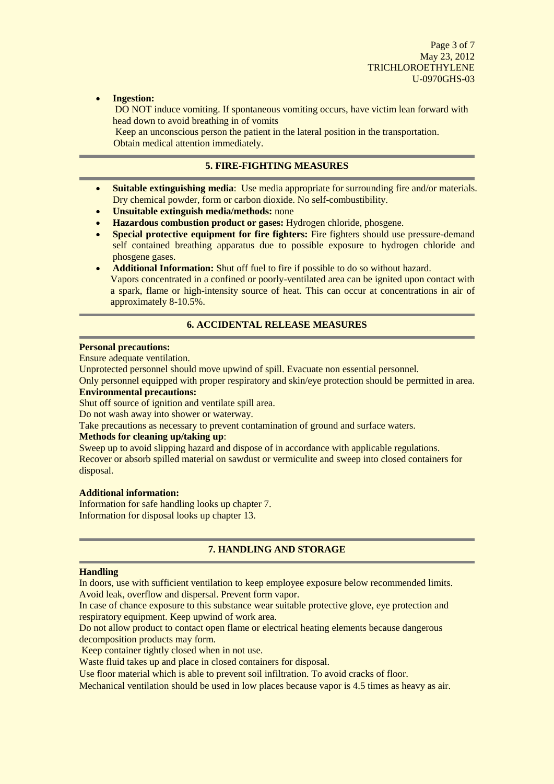Page 3 of 7 May 23, 2012 TRICHLOROETHYLENE U-0970GHS-03

**Ingestion:**

DO NOT induce vomiting. If spontaneous vomiting occurs, have victim lean forward with head down to avoid breathing in of vomits

Keep an unconscious person the patient in the lateral position in the transportation. Obtain medical attention immediately.

## **5. FIRE-FIGHTING MEASURES**

- **Suitable extinguishing media**: Use media appropriate for surrounding fire and/or materials. Dry chemical powder, form or carbon dioxide. No self-combustibility.
- **Unsuitable extinguish media/methods:** none
- **Hazardous combustion product or gases:** Hydrogen chloride, phosgene.
- **Special protective equipment for fire fighters:** Fire fighters should use pressure-demand self contained breathing apparatus due to possible exposure to hydrogen chloride and phosgene gases.
- **Additional Information:** Shut off fuel to fire if possible to do so without hazard. Vapors concentrated in a confined or poorly-ventilated area can be ignited upon contact with a spark, flame or high-intensity source of heat. This can occur at concentrations in air of approximately 8-10.5%.

## **6. ACCIDENTAL RELEASE MEASURES**

#### **Personal precautions:**

Ensure adequate ventilation.

Unprotected personnel should move upwind of spill. Evacuate non essential personnel.

Only personnel equipped with proper respiratory and skin/eye protection should be permitted in area. **Environmental precautions:**

Shut off source of ignition and ventilate spill area.

Do not wash away into shower or waterway.

Take precautions as necessary to prevent contamination of ground and surface waters.

#### **Methods for cleaning up/taking up**:

Sweep up to avoid slipping hazard and dispose of in accordance with applicable regulations. Recover or absorb spilled material on sawdust or vermiculite and sweep into closed containers for disposal.

#### **Additional information:**

Information for safe handling looks up chapter 7. Information for disposal looks up chapter 13.

### **7. HANDLING AND STORAGE**

#### **Handling**

In doors, use with sufficient ventilation to keep employee exposure below recommended limits. Avoid leak, overflow and dispersal. Prevent form vapor.

In case of chance exposure to this substance wear suitable protective glove, eye protection and respiratory equipment. Keep upwind of work area.

Do not allow product to contact open flame or electrical heating elements because dangerous decomposition products may form.

Keep container tightly closed when in not use.

Waste fluid takes up and place in closed containers for disposal.

Use floor material which is able to prevent soil infiltration. To avoid cracks of floor.

Mechanical ventilation should be used in low places because vapor is 4.5 times as heavy as air.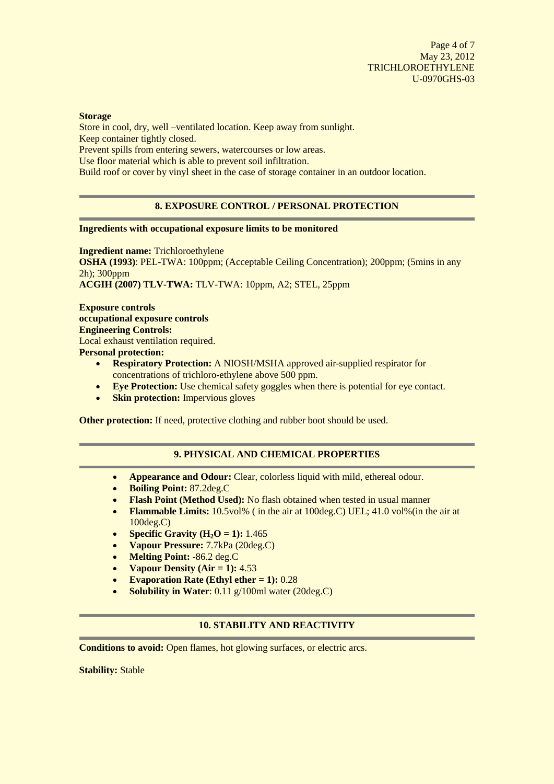#### **Storage**

Store in cool, dry, well –ventilated location. Keep away from sunlight. Keep container tightly closed. Prevent spills from entering sewers, watercourses or low areas.

Use floor material which is able to prevent soil infiltration.

Build roof or cover by vinyl sheet in the case of storage container in an outdoor location.

## **8. EXPOSURE CONTROL / PERSONAL PROTECTION**

### **Ingredients with occupational exposure limits to be monitored**

**Ingredient name:** Trichloroethylene **OSHA (1993)**: PEL-TWA: 100ppm; (Acceptable Ceiling Concentration); 200ppm; (5mins in any 2h); 300ppm **ACGIH (2007) TLV-TWA:** TLV-TWA: 10ppm, A2; STEL, 25ppm

**Exposure controls occupational exposure controls Engineering Controls:** Local exhaust ventilation required. **Personal protection:**

- **Respiratory Protection:** A NIOSH/MSHA approved air-supplied respirator for concentrations of trichloro-ethylene above 500 ppm.
- **Eye Protection:** Use chemical safety goggles when there is potential for eye contact.
- **Skin protection:** Impervious gloves

**Other protection:** If need, protective clothing and rubber boot should be used.

## **9. PHYSICAL AND CHEMICAL PROPERTIES**

- **Appearance and Odour:** Clear, colorless liquid with mild, ethereal odour.
- **Boiling Point:** 87.2deg.C
- Flash Point (Method Used): No flash obtained when tested in usual manner
- **Flammable Limits:** 10.5vol% ( in the air at 100deg.C) UEL; 41.0 vol%(in the air at 100deg.C)
- **•** Specific Gravity  $(H_2O = 1)$ : 1.465
- **Vapour Pressure:** 7.7kPa (20deg.C)
- **Melting Point:** -86.2 deg.C
- **Vapour Density (Air = 1):** 4.53
- **Evaporation Rate (Ethyl ether = 1):** 0.28
- **Solubility in Water:** 0.11 g/100ml water (20deg.C)

### **10. STABILITY AND REACTIVITY**

**Conditions to avoid:** Open flames, hot glowing surfaces, or electric arcs.

**Stability:** Stable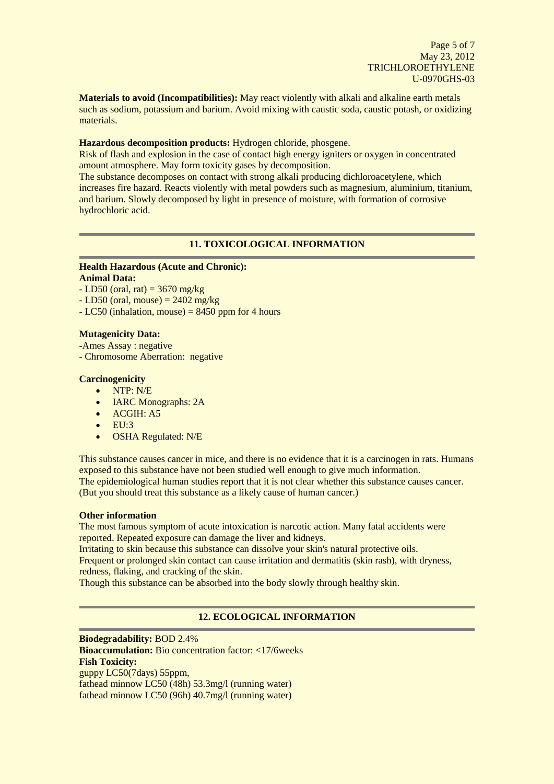**Materials to avoid (Incompatibilities):** May react violently with alkali and alkaline earth metals such as sodium, potassium and barium. Avoid mixing with caustic soda, caustic potash, or oxidizing materials.

### **Hazardous decomposition products:** Hydrogen chloride, phosgene.

Risk of flash and explosion in the case of contact high energy igniters or oxygen in concentrated amount atmosphere. May form toxicity gases by decomposition.

The substance decomposes on contact with strong alkali producing dichloroacetylene, which increases fire hazard. Reacts violently with metal powders such as magnesium, aluminium, titanium, and barium. Slowly decomposed by light in presence of moisture, with formation of corrosive hydrochloric acid.

## **11. TOXICOLOGICAL INFORMATION**

## **Health Hazardous (Acute and Chronic):**

## **Animal Data:**

- $-LD50$  (oral, rat) = 3670 mg/kg
- $-LD50$  (oral, mouse) = 2402 mg/kg
- $-LC50$  (inhalation, mouse) = 8450 ppm for 4 hours

## **Mutagenicity Data:**

- -Ames Assay : negative
- Chromosome Aberration: negative

## **Carcinogenicity**

- NTP: N/E
- **IARC Monographs: 2A**
- ACGIH: A5
- $\bullet$  EU:3
- OSHA Regulated: N/E

This substance causes cancer in mice, and there is no evidence that it is a carcinogen in rats. Humans exposed to this substance have not been studied well enough to give much information. The epidemiological human studies report that it is not clear whether this substance causes cancer. (But you should treat this substance as a likely cause of human cancer.)

### **Other information**

The most famous symptom of acute intoxication is narcotic action. Many fatal accidents were reported. Repeated exposure can damage the liver and kidneys.

Irritating to skin because this substance can dissolve your skin's natural protective oils. Frequent or prolonged skin contact can cause irritation and dermatitis (skin rash), with dryness,

redness, flaking, and cracking of the skin.

Though this substance can be absorbed into the body slowly through healthy skin.

## **12. ECOLOGICAL INFORMATION**

**Biodegradability:** BOD 2.4% **Bioaccumulation:** Bio concentration factor: <17/6weeks **Fish Toxicity:**  guppy LC50(7days) 55ppm, fathead minnow LC50 (48h) 53.3mg/l (running water) fathead minnow LC50 (96h) 40.7mg/l (running water)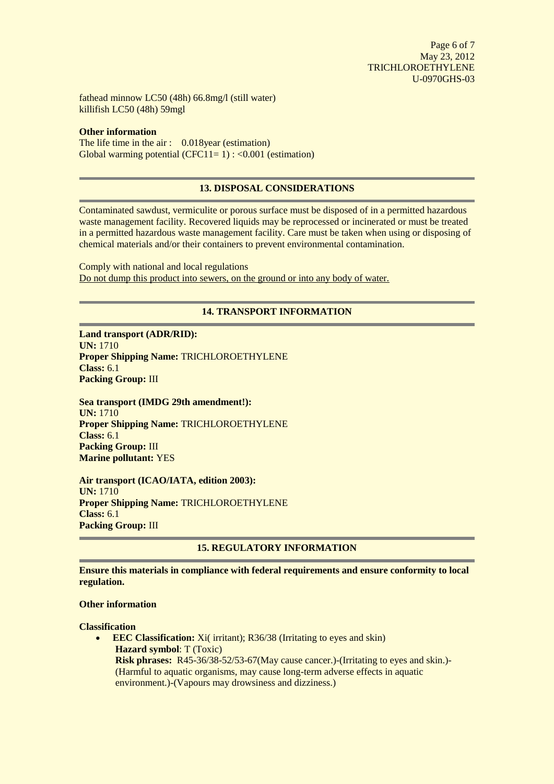Page 6 of 7 May 23, 2012 TRICHLOROETHYLENE U-0970GHS-03

fathead minnow LC50 (48h) 66.8mg/l (still water) killifish LC50 (48h) 59mgl

### **Other information**

The life time in the air : 0.018year (estimation) Global warming potential  $(CFC11=1)$  : <0.001 (estimation)

## **13. DISPOSAL CONSIDERATIONS**

Contaminated sawdust, vermiculite or porous surface must be disposed of in a permitted hazardous waste management facility. Recovered liquids may be reprocessed or incinerated or must be treated in a permitted hazardous waste management facility. Care must be taken when using or disposing of chemical materials and/or their containers to prevent environmental contamination.

Comply with national and local regulations Do not dump this product into sewers, on the ground or into any body of water.

## **14. TRANSPORT INFORMATION**

**Land transport (ADR/RID): UN:** 1710 **Proper Shipping Name:** TRICHLOROETHYLENE **Class:** 6.1 **Packing Group:** III

**Sea transport (IMDG 29th amendment!): UN:** 1710 **Proper Shipping Name:** TRICHLOROETHYLENE **Class:** 6.1 **Packing Group: III Marine pollutant:** YES

**Air transport (ICAO/IATA, edition 2003): UN:** 1710 **Proper Shipping Name:** TRICHLOROETHYLENE **Class:** 6.1 **Packing Group:** III

## **15. REGULATORY INFORMATION**

**Ensure this materials in compliance with federal requirements and ensure conformity to local regulation.**

### **Other information**

**Classification**

**EEC Classification:** Xi( irritant); R36/38 (Irritating to eyes and skin) **Hazard symbol**: T (Toxic) **Risk phrases:** R45-36/38-52/53-67(May cause cancer.)-(Irritating to eyes and skin.)- (Harmful to aquatic organisms, may cause long-term adverse effects in aquatic environment.)-(Vapours may drowsiness and dizziness.)